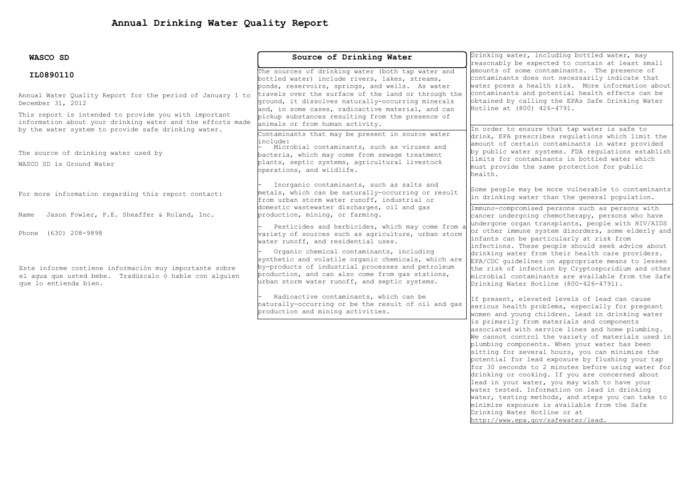| WASCO SD                                                                                                                                                                   | Source of Drinking Water                                                                                                                                                                                                                                  | Drinking water, including bottled water, may                                                                                                                                                                                                                                                                                                                                                                                                                                                                                                                                                                                                                                                                           |  |  |  |
|----------------------------------------------------------------------------------------------------------------------------------------------------------------------------|-----------------------------------------------------------------------------------------------------------------------------------------------------------------------------------------------------------------------------------------------------------|------------------------------------------------------------------------------------------------------------------------------------------------------------------------------------------------------------------------------------------------------------------------------------------------------------------------------------------------------------------------------------------------------------------------------------------------------------------------------------------------------------------------------------------------------------------------------------------------------------------------------------------------------------------------------------------------------------------------|--|--|--|
| IL0890110                                                                                                                                                                  | The sources of drinking water (both tap water and<br>bottled water) include rivers, lakes, streams,<br>ponds, reservoirs, springs, and wells. As water                                                                                                    | reasonably be expected to contain at least small<br>amounts of some contaminants. The presence of<br>contaminants does not necessarily indicate that<br>water poses a health risk. More information about                                                                                                                                                                                                                                                                                                                                                                                                                                                                                                              |  |  |  |
| Annual Water Quality Report for the period of January 1 to<br>December 31, 2012                                                                                            | travels over the surface of the land or through the<br>ground, it dissolves naturally-occurring minerals<br>and, in some cases, radioactive material, and can                                                                                             | contaminants and potential health effects can be<br>obtained by calling the EPAs Safe Drinking Water<br>Hotline at (800) 426-4791.                                                                                                                                                                                                                                                                                                                                                                                                                                                                                                                                                                                     |  |  |  |
| This report is intended to provide you with important<br>information about your drinking water and the efforts made<br>by the water system to provide safe drinking water. | pickup substances resulting from the presence of<br>animals or from human activity.<br>Contaminants that may be present in source water                                                                                                                   | In order to ensure that tap water is safe to                                                                                                                                                                                                                                                                                                                                                                                                                                                                                                                                                                                                                                                                           |  |  |  |
| The source of drinking water used by<br>WASCO SD is Ground Water                                                                                                           | include:<br>Microbial contaminants, such as viruses and<br>bacteria, which may come from sewage treatment<br>plants, septic systems, agricultural livestock<br>operations, and wildlife.                                                                  | drink, EPA prescribes regulations which limit the<br>amount of certain contaminants in water provided<br>by public water systems. FDA regulations establish<br>limits for contaminants in bottled water which<br>must provide the same protection for public<br>health.                                                                                                                                                                                                                                                                                                                                                                                                                                                |  |  |  |
| For more information regarding this report contact:                                                                                                                        | Inorganic contaminants, such as salts and<br>metals, which can be naturally-occurring or result<br>from urban storm water runoff, industrial or                                                                                                           | Some people may be more vulnerable to contaminants<br>in drinking water than the general population.                                                                                                                                                                                                                                                                                                                                                                                                                                                                                                                                                                                                                   |  |  |  |
| Jason Fowler, P.E. Sheaffer & Roland, Inc.<br>Name                                                                                                                         | domestic wastewater discharges, oil and gas<br>production, mining, or farming.                                                                                                                                                                            | Immuno-compromised persons such as persons with<br>cancer undergoing chemotherapy, persons who have                                                                                                                                                                                                                                                                                                                                                                                                                                                                                                                                                                                                                    |  |  |  |
| Phone (630) 208-9898                                                                                                                                                       | Pesticides and herbicides, which may come from a<br>variety of sources such as agriculture, urban storm<br>water runoff, and residential uses.                                                                                                            | undergone organ transplants, people with HIV/AIDS<br>or other immune system disorders, some elderly and<br>infants can be particularly at risk from<br>infections. These people should seek advice about                                                                                                                                                                                                                                                                                                                                                                                                                                                                                                               |  |  |  |
| Este informe contiene información muy importante sobre<br>el aqua que usted bebe. Tradúzcalo ó hable con alquien<br>que lo entienda bien.                                  | Organic chemical contaminants, including<br>synthetic and volatile organic chemicals, which are<br>by-products of industrial processes and petroleum<br>production, and can also come from gas stations,<br>urban storm water runoff, and septic systems. | drinking water from their health care providers.<br>EPA/CDC quidelines on appropriate means to lessen<br>the risk of infection by Cryptosporidium and other<br>microbial contaminants are available from the Safe<br>Drinking Water Hotline (800-426-4791).                                                                                                                                                                                                                                                                                                                                                                                                                                                            |  |  |  |
|                                                                                                                                                                            | Radioactive contaminants, which can be<br>naturally-occurring or be the result of oil and gas<br>production and mining activities.                                                                                                                        | If present, elevated levels of lead can cause<br>serious health problems, especially for pregnant<br>women and young children. Lead in drinking water                                                                                                                                                                                                                                                                                                                                                                                                                                                                                                                                                                  |  |  |  |
|                                                                                                                                                                            |                                                                                                                                                                                                                                                           | is primarily from materials and components<br>associated with service lines and home plumbing.<br>We cannot control the variety of materials used in<br>plumbing components. When your water has been<br>sitting for several hours, you can minimize the<br>potential for lead exposure by flushing your tap<br>for 30 seconds to 2 minutes before using water for<br>drinking or cooking. If you are concerned about<br>lead in your water, you may wish to have your<br>water tested. Information on lead in drinking<br>water, testing methods, and steps you can take to<br>minimize exposure is available from the Safe<br>Drinking Water Hotline or at<br>$h++n$ , $l$ , $l$ and $m$ , $l$ and $m$ , $l$ and $l$ |  |  |  |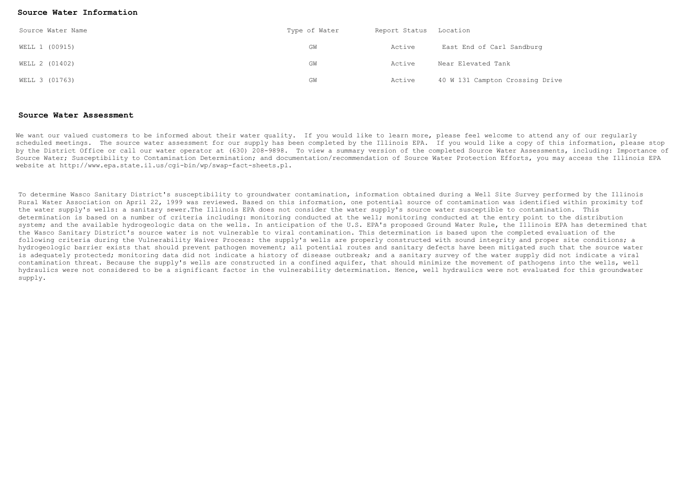## **Source Water Information**

| Source Water Name | Type of Water | Report Status | Location                        |
|-------------------|---------------|---------------|---------------------------------|
| WELL 1 (00915)    | GM            | Active        | East End of Carl Sandburg       |
| WELL 2 (01402)    | GM            | Active        | Near Elevated Tank              |
| WELL 3 (01763)    | GW            | Active        | 40 W 131 Campton Crossing Drive |

## **Source Water Assessment**

We want our valued customers to be informed about their water quality. If you would like to learn more, please feel welcome to attend any of our regularly scheduled meetings. The source water assessment for our supply has been completed by the Illinois EPA. If you would like a copy of this information, please stop by the District Office or call our water operator at (630) 208-9898. To view a summary version of the completed Source Water Assessments, including: Importance of Source Water; Susceptibility to Contamination Determination; and documentation/recommendation of Source Water Protection Efforts, you may access the Illinois EPA website at http://www.epa.state.il.us/cgi-bin/wp/swap-fact-sheets.pl.

To determine Wasco Sanitary District's susceptibility to groundwater contamination, information obtained during a Well Site Survey performed by the Illinois Rural Water Association on April 22, 1999 was reviewed. Based on this information, one potential source of contamination was identified within proximity tof the water supply's wells: a sanitary sewer.The Illinois EPA does not consider the water supply's source water susceptible to contamination. This determination is based on a number of criteria including: monitoring conducted at the well; monitoring conducted at the entry point to the distribution system; and the available hydrogeologic data on the wells. In anticipation of the U.S. EPA's proposed Ground Water Rule, the Illinois EPA has determined that the Wasco Sanitary District's source water is not vulnerable to viral contamination. This determination is based upon the completed evaluation of the following criteria during the Vulnerability Waiver Process: the supply's wells are properly constructed with sound integrity and proper site conditions; a hydrogeologic barrier exists that should prevent pathogen movement; all potential routes and sanitary defects have been mitigated such that the source water is adequately protected; monitoring data did not indicate a history of disease outbreak; and a sanitary survey of the water supply did not indicate a viral contamination threat. Because the supply's wells are constructed in a confined aquifer, that should minimize the movement of pathogens into the wells, well hydraulics were not considered to be a significant factor in the vulnerability determination. Hence, well hydraulics were not evaluated for this groundwater supply.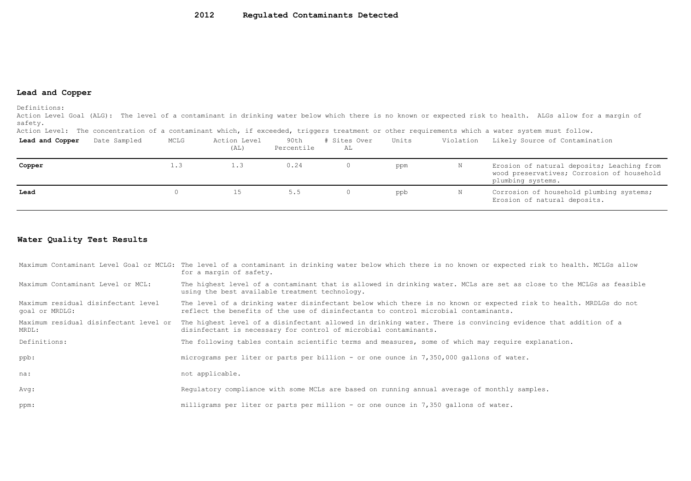## **Lead and Copper**

Definitions:

Action Level Goal (ALG): The level of a contaminant in drinking water below which there is no known or expected risk to health. ALGs allow for a margin of safety.

Action Level: The concentration of a contaminant which, if exceeded, triggers treatment or other requirements which a water system must follow.

| Lead and Copper | Date Sampled | MCLG | Action Level<br>(AL) | 90th<br>Percentile | # Sites Over<br>AL | Units | Violation | Likely Source of Contamination                                                                                |
|-----------------|--------------|------|----------------------|--------------------|--------------------|-------|-----------|---------------------------------------------------------------------------------------------------------------|
| Copper          |              | 1.3  | 1.3                  | 0.24               | 0                  | ppm   | Ν         | Erosion of natural deposits; Leaching from<br>wood preservatives; Corrosion of household<br>plumbing systems. |
| Lead            |              |      |                      | 5.5                |                    | ppb   | N         | Corrosion of household plumbing systems;<br>Erosion of natural deposits.                                      |

## **Water Quality Test Results**

|                                                       | Maximum Contaminant Level Goal or MCLG: The level of a contaminant in drinking water below which there is no known or expected risk to health. MCLGs allow<br>for a margin of safety.                     |
|-------------------------------------------------------|-----------------------------------------------------------------------------------------------------------------------------------------------------------------------------------------------------------|
| Maximum Contaminant Level or MCL:                     | The highest level of a contaminant that is allowed in drinking water. MCLs are set as close to the MCLGs as feasible<br>using the best available treatment technology.                                    |
| Maximum residual disinfectant level<br>goal or MRDLG: | The level of a drinking water disinfectant below which there is no known or expected risk to health. MRDLGs do not<br>reflect the benefits of the use of disinfectants to control microbial contaminants. |
| Maximum residual disinfectant level or<br>MRDL:       | The highest level of a disinfectant allowed in drinking water. There is convincing evidence that addition of a<br>disinfectant is necessary for control of microbial contaminants.                        |
| Definitions:                                          | The following tables contain scientific terms and measures, some of which may require explanation.                                                                                                        |
| ppb:                                                  | micrograms per liter or parts per billion - or one ounce in 7,350,000 gallons of water.                                                                                                                   |
| na:                                                   | not applicable.                                                                                                                                                                                           |
| Avg:                                                  | Requiatory compliance with some MCLs are based on running annual average of monthly samples.                                                                                                              |
| ppm:                                                  | milligrams per liter or parts per million - or one ounce in 7,350 gallons of water.                                                                                                                       |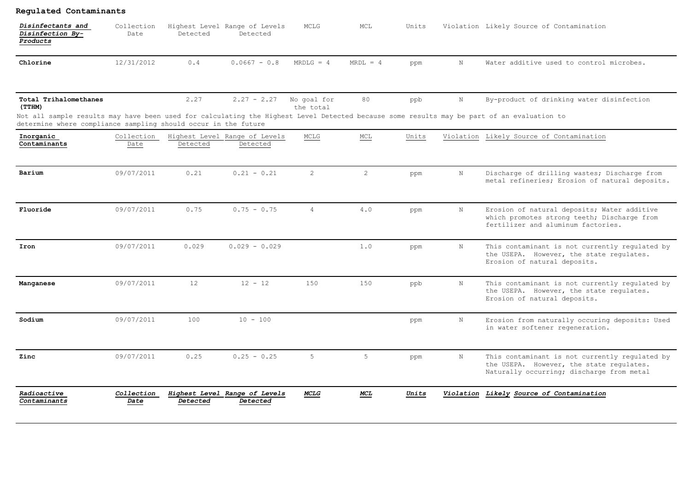| Disinfectants and<br>Disinfection By-<br>Products                                                                                                                                                                                              | Collection<br>Date | Detected | Highest Level Range of Levels<br>Detected | MCLG                     | MCL            | Units |             | Violation Likely Source of Contamination                                                                                                |
|------------------------------------------------------------------------------------------------------------------------------------------------------------------------------------------------------------------------------------------------|--------------------|----------|-------------------------------------------|--------------------------|----------------|-------|-------------|-----------------------------------------------------------------------------------------------------------------------------------------|
| Chlorine                                                                                                                                                                                                                                       | 12/31/2012         | 0.4      | $0.0667 - 0.8$                            | $MRDLG = 4$              | $MRDL = 4$     | ppm   | $_{\rm N}$  | Water additive used to control microbes.                                                                                                |
| Total Trihalomethanes<br>(TTHM)<br>Not all sample results may have been used for calculating the Highest Level Detected because some results may be part of an evaluation to<br>determine where compliance sampling should occur in the future |                    | 2.27     | $2.27 - 2.27$                             | No goal for<br>the total | 80             | ppb   | $\mathbf N$ | By-product of drinking water disinfection                                                                                               |
| Inorganic<br>Contaminants                                                                                                                                                                                                                      | Collection<br>Date | Detected | Highest Level Range of Levels<br>Detected | MCLG                     | MCL            | Units |             | Violation Likely Source of Contamination                                                                                                |
| Barium                                                                                                                                                                                                                                         | 09/07/2011         | 0.21     | $0.21 - 0.21$                             | $\overline{2}$           | $\overline{2}$ | ppm   | N           | Discharge of drilling wastes; Discharge from<br>metal refineries; Erosion of natural deposits.                                          |
| Fluoride                                                                                                                                                                                                                                       | 09/07/2011         | 0.75     | $0.75 - 0.75$                             | $\overline{4}$           | 4.0            | ppm   | N           | Erosion of natural deposits; Water additive<br>which promotes strong teeth; Discharge from<br>fertilizer and aluminum factories.        |
| Iron                                                                                                                                                                                                                                           | 09/07/2011         | 0.029    | $0.029 - 0.029$                           |                          | 1.0            | ppm   | N           | This contaminant is not currently regulated by<br>the USEPA. However, the state regulates.<br>Erosion of natural deposits.              |
| Manganese                                                                                                                                                                                                                                      | 09/07/2011         | 12       | $12 - 12$                                 | 150                      | 150            | ppb   | N           | This contaminant is not currently regulated by<br>the USEPA. However, the state requlates.<br>Erosion of natural deposits.              |
| Sodium                                                                                                                                                                                                                                         | 09/07/2011         | 100      | $10 - 100$                                |                          |                | ppm   | N           | Erosion from naturally occuring deposits: Used<br>in water softener regeneration.                                                       |
| Zinc                                                                                                                                                                                                                                           | 09/07/2011         | 0.25     | $0.25 - 0.25$                             | 5                        | 5              | ppm   | N           | This contaminant is not currently regulated by<br>the USEPA. However, the state requlates.<br>Naturally occurring; discharge from metal |
| Radioactive<br>Contaminants                                                                                                                                                                                                                    | Collection<br>Date | Detected | Highest Level Range of Levels<br>Detected | MCLG                     | <b>MCL</b>     | Units |             | Violation Likely Source of Contamination                                                                                                |

**Regulated Contaminants**